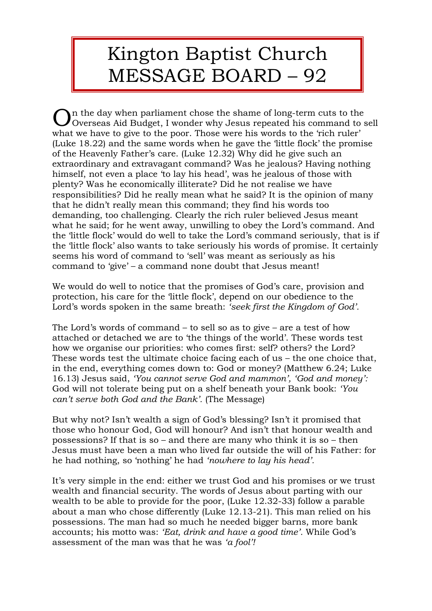## Kington Baptist Church MESSAGE BOARD – 92

In the day when parliament chose the shame of long-term cuts to the  $\mathbf O$ n the day when parliament chose the shame of long-term cuts to the Overseas Aid Budget, I wonder why Jesus repeated his command to sell what we have to give to the poor. Those were his words to the 'rich ruler' (Luke 18.22) and the same words when he gave the 'little flock' the promise of the Heavenly Father's care. (Luke 12.32) Why did he give such an extraordinary and extravagant command? Was he jealous? Having nothing himself, not even a place 'to lay his head', was he jealous of those with plenty? Was he economically illiterate? Did he not realise we have responsibilities? Did he really mean what he said? It is the opinion of many that he didn't really mean this command; they find his words too demanding, too challenging. Clearly the rich ruler believed Jesus meant what he said; for he went away, unwilling to obey the Lord's command. And the 'little flock' would do well to take the Lord's command seriously, that is if the 'little flock' also wants to take seriously his words of promise. It certainly seems his word of command to 'sell' was meant as seriously as his command to 'give' – a command none doubt that Jesus meant!

We would do well to notice that the promises of God's care, provision and protection, his care for the 'little flock', depend on our obedience to the Lord's words spoken in the same breath: *'seek first the Kingdom of God'.*

The Lord's words of command – to sell so as to give – are a test of how attached or detached we are to 'the things of the world'. These words test how we organise our priorities: who comes first: self? others? the Lord? These words test the ultimate choice facing each of us – the one choice that, in the end, everything comes down to: God or money? (Matthew 6.24; Luke 16.13) Jesus said, *'You cannot serve God and mammon', 'God and money':* God will not tolerate being put on a shelf beneath your Bank book: *'You can't serve both God and the Bank'.* (The Message)

But why not? Isn't wealth a sign of God's blessing? Isn't it promised that those who honour God, God will honour? And isn't that honour wealth and possessions? If that is so – and there are many who think it is so – then Jesus must have been a man who lived far outside the will of his Father: for he had nothing, so 'nothing' he had *'nowhere to lay his head'.*

It's very simple in the end: either we trust God and his promises or we trust wealth and financial security. The words of Jesus about parting with our wealth to be able to provide for the poor, (Luke 12.32-33) follow a parable about a man who chose differently (Luke 12.13-21). This man relied on his possessions. The man had so much he needed bigger barns, more bank accounts; his motto was: *'Eat, drink and have a good time'.* While God's assessment of the man was that he was *'a fool'!*